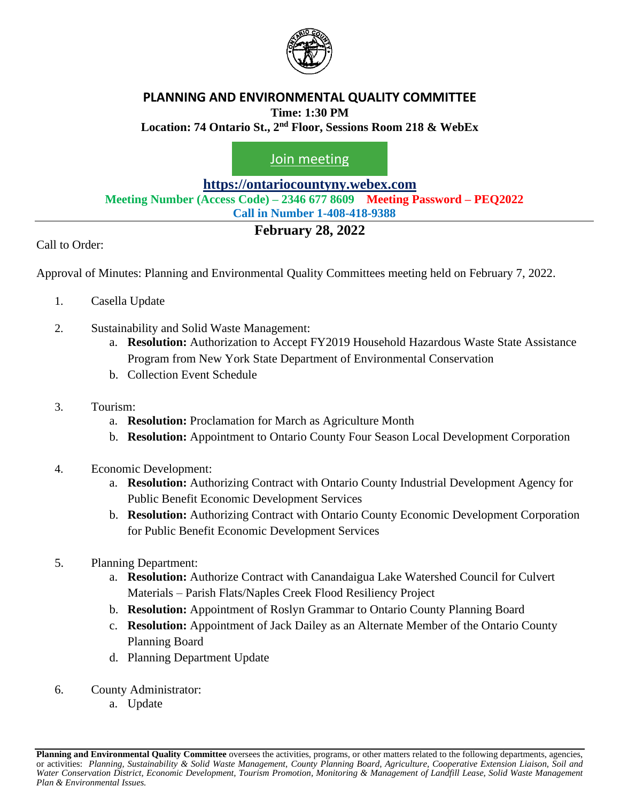

### **PLANNING AND ENVIRONMENTAL QUALITY COMMITTEE Time: 1:30 PM**

**Location: 74 Ontario St., 2 nd Floor, Sessions Room 218 & WebEx**

[Join meeting](https://ontariocountyny.webex.com/)

**[https://ontariocountyny.webex.com](https://ontariocountyny.webex.com/)**

**Meeting Number (Access Code) – 2346 677 8609 Meeting Password – PEQ2022**

**Call in Number 1-408-418-9388**

## **February 28, 2022**

Call to Order:

Approval of Minutes: Planning and Environmental Quality Committees meeting held on February 7, 2022.

- 1. Casella Update
- 2. Sustainability and Solid Waste Management:
	- a. **Resolution:** Authorization to Accept FY2019 Household Hazardous Waste State Assistance Program from New York State Department of Environmental Conservation
	- b. Collection Event Schedule
- 3. Tourism:
	- a. **Resolution:** Proclamation for March as Agriculture Month
	- b. **Resolution:** Appointment to Ontario County Four Season Local Development Corporation
- 4. Economic Development:
	- a. **Resolution:** Authorizing Contract with Ontario County Industrial Development Agency for Public Benefit Economic Development Services
	- b. **Resolution:** Authorizing Contract with Ontario County Economic Development Corporation for Public Benefit Economic Development Services
- 5. Planning Department:
	- a. **Resolution:** Authorize Contract with Canandaigua Lake Watershed Council for Culvert Materials – Parish Flats/Naples Creek Flood Resiliency Project
	- b. **Resolution:** Appointment of Roslyn Grammar to Ontario County Planning Board
	- c. **Resolution:** Appointment of Jack Dailey as an Alternate Member of the Ontario County Planning Board
	- d. Planning Department Update
- 6. County Administrator:
	- a. Update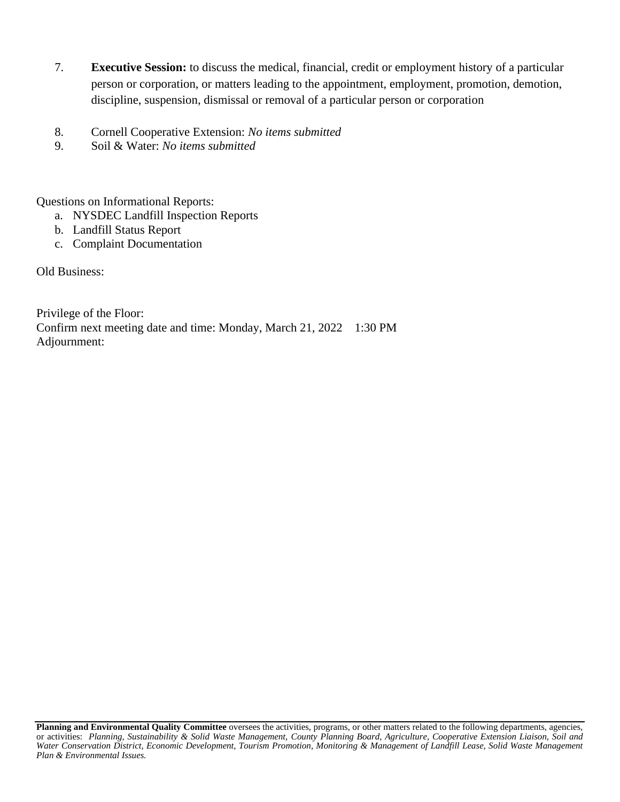- 7. **Executive Session:** to discuss the medical, financial, credit or employment history of a particular person or corporation, or matters leading to the appointment, employment, promotion, demotion, discipline, suspension, dismissal or removal of a particular person or corporation
- 8. Cornell Cooperative Extension: *No items submitted*
- 9. Soil & Water: *No items submitted*

Questions on Informational Reports:

- a. NYSDEC Landfill Inspection Reports
- b. Landfill Status Report
- c. Complaint Documentation

Old Business:

Privilege of the Floor: Confirm next meeting date and time: Monday, March 21, 2022 1:30 PM Adjournment:

**Planning and Environmental Quality Committee** oversees the activities, programs, or other matters related to the following departments, agencies, or activities: *Planning, Sustainability & Solid Waste Management, County Planning Board, Agriculture, Cooperative Extension Liaison, Soil and*  Water Conservation District, Economic Development, Tourism Promotion, Monitoring & Management of Landfill Lease, Solid Waste Management *Plan & Environmental Issues.*